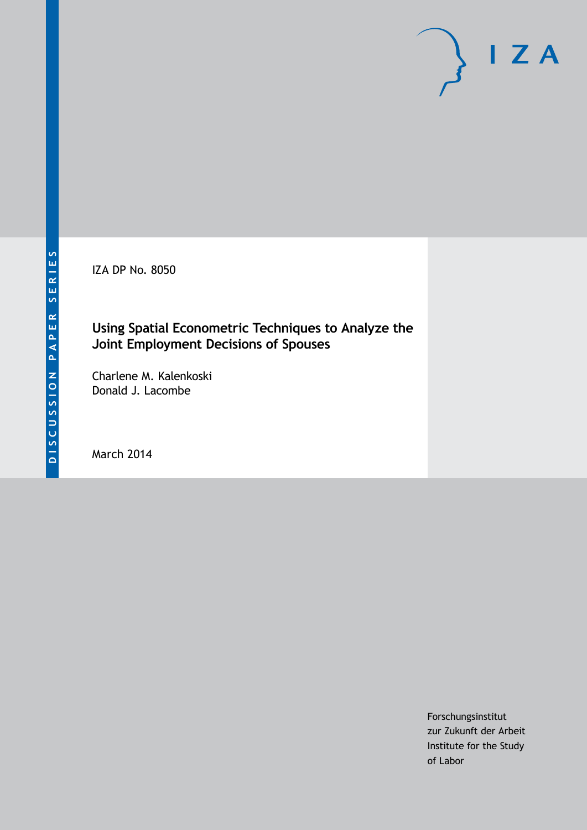IZA DP No. 8050

### **Using Spatial Econometric Techniques to Analyze the Joint Employment Decisions of Spouses**

Charlene M. Kalenkoski Donald J. Lacombe

March 2014

Forschungsinstitut zur Zukunft der Arbeit Institute for the Study of Labor

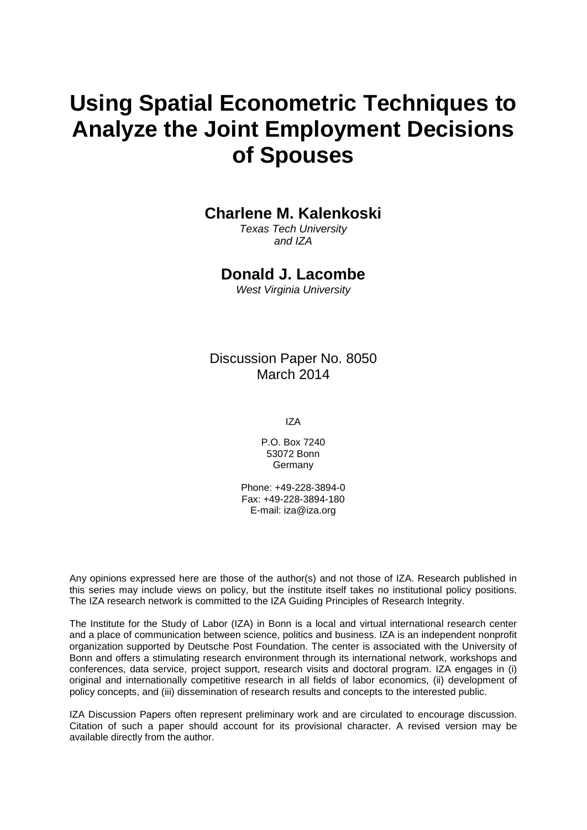# **Using Spatial Econometric Techniques to Analyze the Joint Employment Decisions of Spouses**

**Charlene M. Kalenkoski**

*Texas Tech University and IZA*

### **Donald J. Lacombe**

*West Virginia University*

Discussion Paper No. 8050 March 2014

IZA

P.O. Box 7240 53072 Bonn Germany

Phone: +49-228-3894-0 Fax: +49-228-3894-180 E-mail: [iza@iza.org](mailto:iza@iza.org)

Any opinions expressed here are those of the author(s) and not those of IZA. Research published in this series may include views on policy, but the institute itself takes no institutional policy positions. The IZA research network is committed to the IZA Guiding Principles of Research Integrity.

The Institute for the Study of Labor (IZA) in Bonn is a local and virtual international research center and a place of communication between science, politics and business. IZA is an independent nonprofit organization supported by Deutsche Post Foundation. The center is associated with the University of Bonn and offers a stimulating research environment through its international network, workshops and conferences, data service, project support, research visits and doctoral program. IZA engages in (i) original and internationally competitive research in all fields of labor economics, (ii) development of policy concepts, and (iii) dissemination of research results and concepts to the interested public.

<span id="page-1-0"></span>IZA Discussion Papers often represent preliminary work and are circulated to encourage discussion. Citation of such a paper should account for its provisional character. A revised version may be available directly from the author.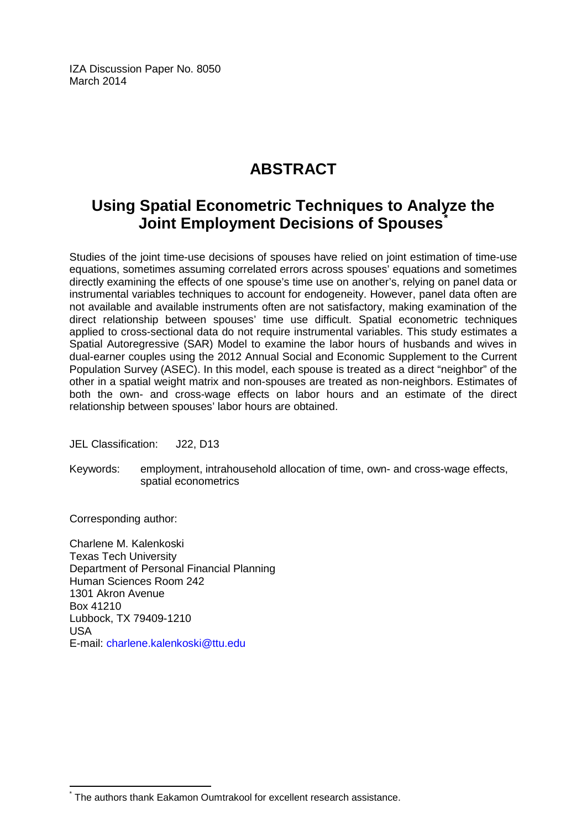IZA Discussion Paper No. 8050 March 2014

# **ABSTRACT**

## **Using Spatial Econometric Techniques to Analyze the Joint Employment Decisions of Spouses[\\*](#page-1-0)**

Studies of the joint time-use decisions of spouses have relied on joint estimation of time-use equations, sometimes assuming correlated errors across spouses' equations and sometimes directly examining the effects of one spouse's time use on another's, relying on panel data or instrumental variables techniques to account for endogeneity. However, panel data often are not available and available instruments often are not satisfactory, making examination of the direct relationship between spouses' time use difficult. Spatial econometric techniques applied to cross-sectional data do not require instrumental variables. This study estimates a Spatial Autoregressive (SAR) Model to examine the labor hours of husbands and wives in dual-earner couples using the 2012 Annual Social and Economic Supplement to the Current Population Survey (ASEC). In this model, each spouse is treated as a direct "neighbor" of the other in a spatial weight matrix and non-spouses are treated as non-neighbors. Estimates of both the own- and cross-wage effects on labor hours and an estimate of the direct relationship between spouses' labor hours are obtained.

JEL Classification: J22, D13

Keywords: employment, intrahousehold allocation of time, own- and cross-wage effects, spatial econometrics

Corresponding author:

Charlene M. Kalenkoski Texas Tech University Department of Personal Financial Planning Human Sciences Room 242 1301 Akron Avenue Box 41210 Lubbock, TX 79409-1210 USA E-mail: [charlene.kalenkoski@ttu.edu](mailto:charlene.kalenkoski@ttu.edu)

The authors thank Eakamon Oumtrakool for excellent research assistance.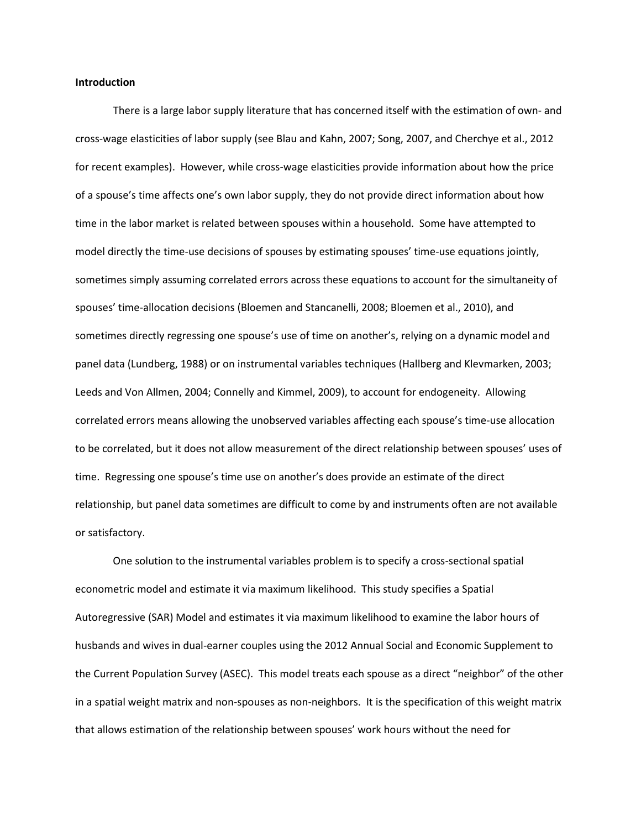#### **Introduction**

There is a large labor supply literature that has concerned itself with the estimation of own- and cross-wage elasticities of labor supply (see Blau and Kahn, 2007; Song, 2007, and Cherchye et al., 2012 for recent examples). However, while cross-wage elasticities provide information about how the price of a spouse's time affects one's own labor supply, they do not provide direct information about how time in the labor market is related between spouses within a household. Some have attempted to model directly the time-use decisions of spouses by estimating spouses' time-use equations jointly, sometimes simply assuming correlated errors across these equations to account for the simultaneity of spouses' time-allocation decisions (Bloemen and Stancanelli, 2008; Bloemen et al., 2010), and sometimes directly regressing one spouse's use of time on another's, relying on a dynamic model and panel data (Lundberg, 1988) or on instrumental variables techniques (Hallberg and Klevmarken, 2003; Leeds and Von Allmen, 2004; Connelly and Kimmel, 2009), to account for endogeneity. Allowing correlated errors means allowing the unobserved variables affecting each spouse's time-use allocation to be correlated, but it does not allow measurement of the direct relationship between spouses' uses of time. Regressing one spouse's time use on another's does provide an estimate of the direct relationship, but panel data sometimes are difficult to come by and instruments often are not available or satisfactory.

One solution to the instrumental variables problem is to specify a cross-sectional spatial econometric model and estimate it via maximum likelihood. This study specifies a Spatial Autoregressive (SAR) Model and estimates it via maximum likelihood to examine the labor hours of husbands and wives in dual-earner couples using the 2012 Annual Social and Economic Supplement to the Current Population Survey (ASEC). This model treats each spouse as a direct "neighbor" of the other in a spatial weight matrix and non-spouses as non-neighbors. It is the specification of this weight matrix that allows estimation of the relationship between spouses' work hours without the need for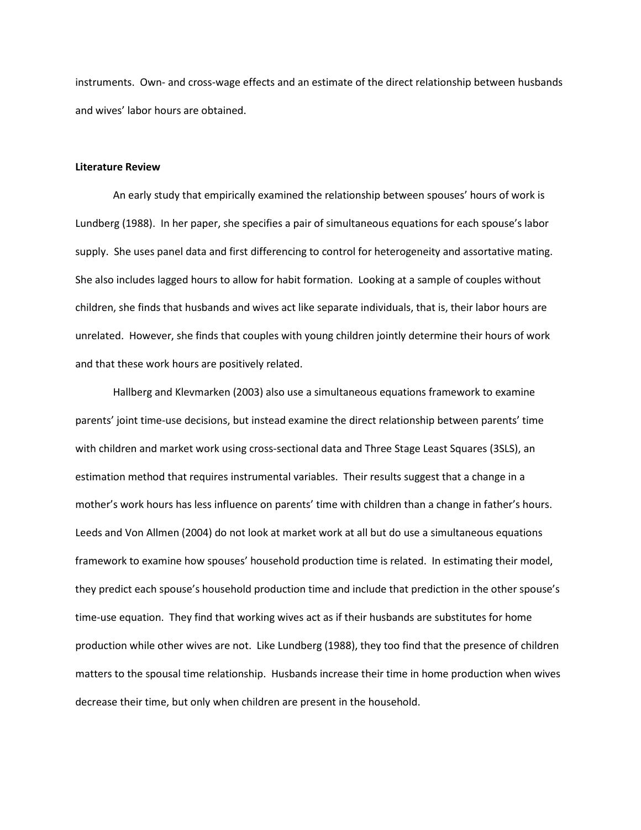instruments. Own- and cross-wage effects and an estimate of the direct relationship between husbands and wives' labor hours are obtained.

#### **Literature Review**

An early study that empirically examined the relationship between spouses' hours of work is Lundberg (1988). In her paper, she specifies a pair of simultaneous equations for each spouse's labor supply. She uses panel data and first differencing to control for heterogeneity and assortative mating. She also includes lagged hours to allow for habit formation. Looking at a sample of couples without children, she finds that husbands and wives act like separate individuals, that is, their labor hours are unrelated. However, she finds that couples with young children jointly determine their hours of work and that these work hours are positively related.

Hallberg and Klevmarken (2003) also use a simultaneous equations framework to examine parents' joint time-use decisions, but instead examine the direct relationship between parents' time with children and market work using cross-sectional data and Three Stage Least Squares (3SLS), an estimation method that requires instrumental variables. Their results suggest that a change in a mother's work hours has less influence on parents' time with children than a change in father's hours. Leeds and Von Allmen (2004) do not look at market work at all but do use a simultaneous equations framework to examine how spouses' household production time is related. In estimating their model, they predict each spouse's household production time and include that prediction in the other spouse's time-use equation. They find that working wives act as if their husbands are substitutes for home production while other wives are not. Like Lundberg (1988), they too find that the presence of children matters to the spousal time relationship. Husbands increase their time in home production when wives decrease their time, but only when children are present in the household.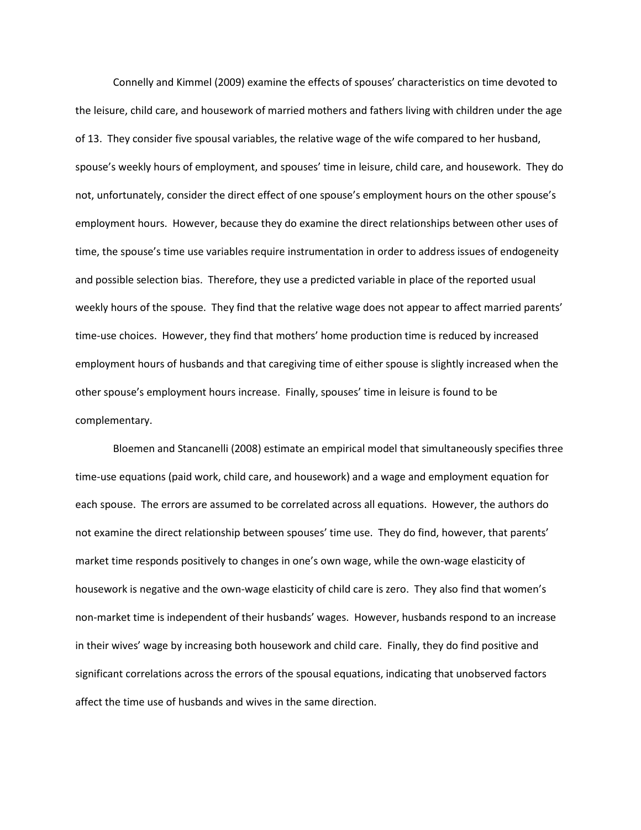Connelly and Kimmel (2009) examine the effects of spouses' characteristics on time devoted to the leisure, child care, and housework of married mothers and fathers living with children under the age of 13. They consider five spousal variables, the relative wage of the wife compared to her husband, spouse's weekly hours of employment, and spouses' time in leisure, child care, and housework. They do not, unfortunately, consider the direct effect of one spouse's employment hours on the other spouse's employment hours. However, because they do examine the direct relationships between other uses of time, the spouse's time use variables require instrumentation in order to address issues of endogeneity and possible selection bias. Therefore, they use a predicted variable in place of the reported usual weekly hours of the spouse. They find that the relative wage does not appear to affect married parents' time-use choices. However, they find that mothers' home production time is reduced by increased employment hours of husbands and that caregiving time of either spouse is slightly increased when the other spouse's employment hours increase. Finally, spouses' time in leisure is found to be complementary.

Bloemen and Stancanelli (2008) estimate an empirical model that simultaneously specifies three time-use equations (paid work, child care, and housework) and a wage and employment equation for each spouse. The errors are assumed to be correlated across all equations. However, the authors do not examine the direct relationship between spouses' time use. They do find, however, that parents' market time responds positively to changes in one's own wage, while the own-wage elasticity of housework is negative and the own-wage elasticity of child care is zero. They also find that women's non-market time is independent of their husbands' wages. However, husbands respond to an increase in their wives' wage by increasing both housework and child care. Finally, they do find positive and significant correlations across the errors of the spousal equations, indicating that unobserved factors affect the time use of husbands and wives in the same direction.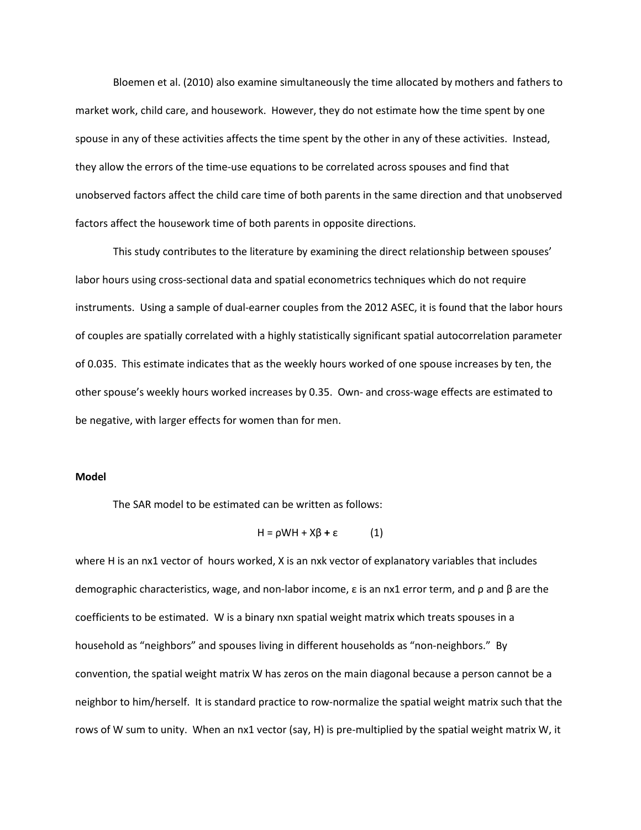Bloemen et al. (2010) also examine simultaneously the time allocated by mothers and fathers to market work, child care, and housework. However, they do not estimate how the time spent by one spouse in any of these activities affects the time spent by the other in any of these activities. Instead, they allow the errors of the time-use equations to be correlated across spouses and find that unobserved factors affect the child care time of both parents in the same direction and that unobserved factors affect the housework time of both parents in opposite directions.

This study contributes to the literature by examining the direct relationship between spouses' labor hours using cross-sectional data and spatial econometrics techniques which do not require instruments. Using a sample of dual-earner couples from the 2012 ASEC, it is found that the labor hours of couples are spatially correlated with a highly statistically significant spatial autocorrelation parameter of 0.035. This estimate indicates that as the weekly hours worked of one spouse increases by ten, the other spouse's weekly hours worked increases by 0.35. Own- and cross-wage effects are estimated to be negative, with larger effects for women than for men.

#### **Model**

The SAR model to be estimated can be written as follows:

$$
H = \rho WH + X\beta + \epsilon \qquad (1)
$$

where H is an nx1 vector of hours worked, X is an nxk vector of explanatory variables that includes demographic characteristics, wage, and non-labor income,  $ε$  is an nx1 error term, and  $ρ$  and  $β$  are the coefficients to be estimated. W is a binary nxn spatial weight matrix which treats spouses in a household as "neighbors" and spouses living in different households as "non-neighbors." By convention, the spatial weight matrix W has zeros on the main diagonal because a person cannot be a neighbor to him/herself. It is standard practice to row-normalize the spatial weight matrix such that the rows of W sum to unity. When an nx1 vector (say, H) is pre-multiplied by the spatial weight matrix W, it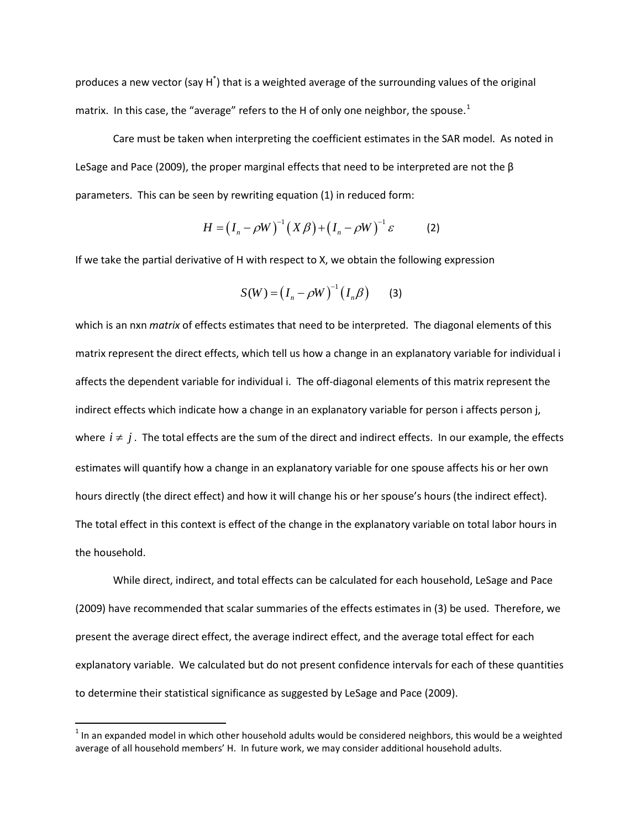produces a new vector (say  $H^*$ ) that is a weighted average of the surrounding values of the original matrix. In this case, the "average" refers to the H of only one neighbor, the spouse. $1$ 

Care must be taken when interpreting the coefficient estimates in the SAR model. As noted in LeSage and Pace (2009), the proper marginal effects that need to be interpreted are not the  $\beta$ parameters. This can be seen by rewriting equation (1) in reduced form:

$$
H = (I_n - \rho W)^{-1} (X \beta) + (I_n - \rho W)^{-1} \varepsilon
$$
 (2)

If we take the partial derivative of H with respect to X, we obtain the following expression

$$
S(W) = (I_n - \rho W)^{-1} (I_n \beta) \qquad (3)
$$

which is an nxn *matrix* of effects estimates that need to be interpreted. The diagonal elements of this matrix represent the direct effects, which tell us how a change in an explanatory variable for individual i affects the dependent variable for individual i. The off-diagonal elements of this matrix represent the indirect effects which indicate how a change in an explanatory variable for person i affects person j, where  $i \neq j$ . The total effects are the sum of the direct and indirect effects. In our example, the effects estimates will quantify how a change in an explanatory variable for one spouse affects his or her own hours directly (the direct effect) and how it will change his or her spouse's hours (the indirect effect). The total effect in this context is effect of the change in the explanatory variable on total labor hours in the household.

While direct, indirect, and total effects can be calculated for each household, LeSage and Pace (2009) have recommended that scalar summaries of the effects estimates in (3) be used. Therefore, we present the average direct effect, the average indirect effect, and the average total effect for each explanatory variable. We calculated but do not present confidence intervals for each of these quantities to determine their statistical significance as suggested by LeSage and Pace (2009).

 $1$  In an expanded model in which other household adults would be considered neighbors, this would be a weighted average of all household members' H. In future work, we may consider additional household adults.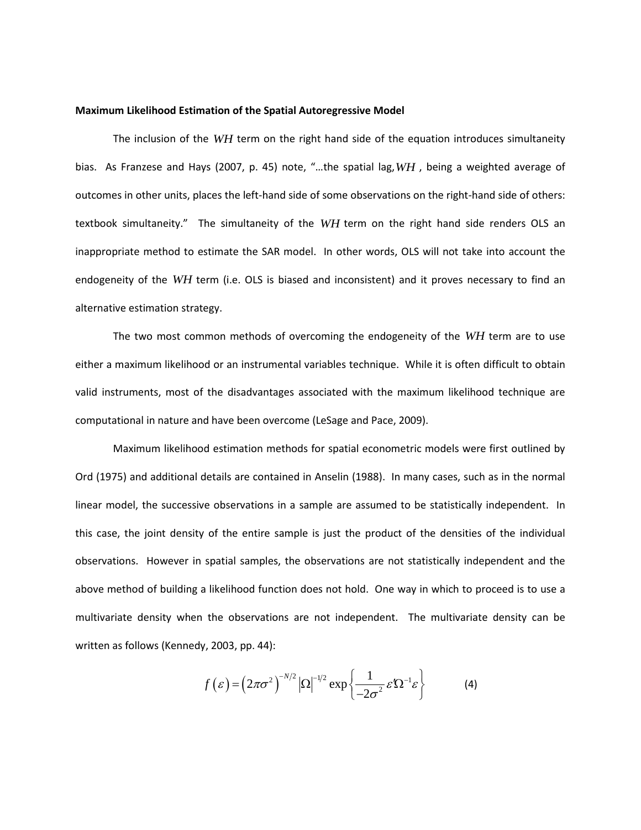#### **Maximum Likelihood Estimation of the Spatial Autoregressive Model**

The inclusion of the *WH* term on the right hand side of the equation introduces simultaneity bias. As Franzese and Hays (2007, p. 45) note, "…the spatial lag,*WH* , being a weighted average of outcomes in other units, places the left-hand side of some observations on the right-hand side of others: textbook simultaneity." The simultaneity of the *WH* term on the right hand side renders OLS an inappropriate method to estimate the SAR model. In other words, OLS will not take into account the endogeneity of the *WH* term (i.e. OLS is biased and inconsistent) and it proves necessary to find an alternative estimation strategy.

The two most common methods of overcoming the endogeneity of the *WH* term are to use either a maximum likelihood or an instrumental variables technique. While it is often difficult to obtain valid instruments, most of the disadvantages associated with the maximum likelihood technique are computational in nature and have been overcome (LeSage and Pace, 2009).

Maximum likelihood estimation methods for spatial econometric models were first outlined by Ord (1975) and additional details are contained in Anselin (1988). In many cases, such as in the normal linear model, the successive observations in a sample are assumed to be statistically independent. In this case, the joint density of the entire sample is just the product of the densities of the individual observations. However in spatial samples, the observations are not statistically independent and the above method of building a likelihood function does not hold. One way in which to proceed is to use a multivariate density when the observations are not independent. The multivariate density can be written as follows (Kennedy, 2003, pp. 44):

$$
f(\varepsilon) = \left(2\pi\sigma^2\right)^{-N/2} \left|\Omega\right|^{-1/2} \exp\left\{\frac{1}{-2\sigma^2}\varepsilon'\Omega^{-1}\varepsilon\right\} \tag{4}
$$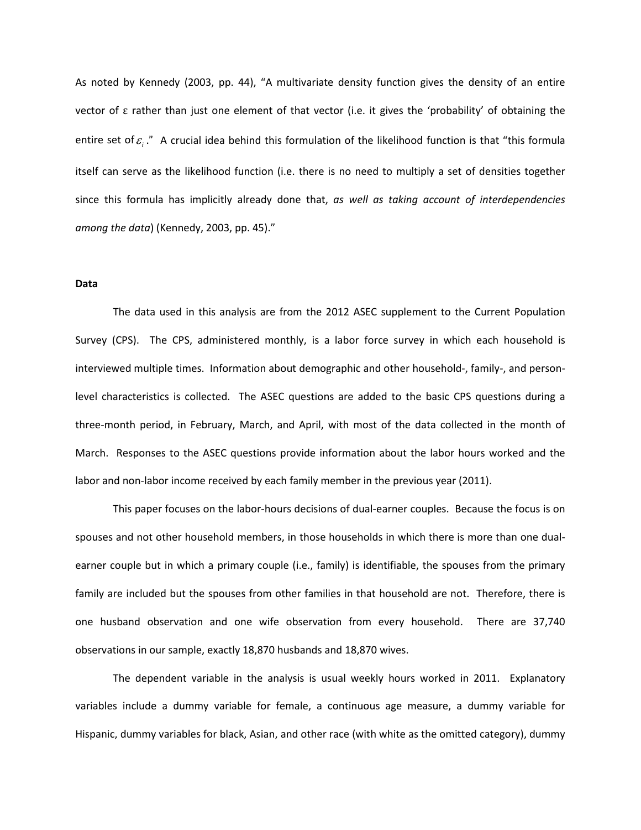As noted by Kennedy (2003, pp. 44), "A multivariate density function gives the density of an entire vector of ε rather than just one element of that vector (i.e. it gives the 'probability' of obtaining the entire set of  $\varepsilon$ ." A crucial idea behind this formulation of the likelihood function is that "this formula itself can serve as the likelihood function (i.e. there is no need to multiply a set of densities together since this formula has implicitly already done that, *as well as taking account of interdependencies among the data*) (Kennedy, 2003, pp. 45)."

#### **Data**

The data used in this analysis are from the 2012 ASEC supplement to the Current Population Survey (CPS). The CPS, administered monthly, is a labor force survey in which each household is interviewed multiple times. Information about demographic and other household-, family-, and personlevel characteristics is collected. The ASEC questions are added to the basic CPS questions during a three-month period, in February, March, and April, with most of the data collected in the month of March. Responses to the ASEC questions provide information about the labor hours worked and the labor and non-labor income received by each family member in the previous year (2011).

This paper focuses on the labor-hours decisions of dual-earner couples. Because the focus is on spouses and not other household members, in those households in which there is more than one dualearner couple but in which a primary couple (i.e., family) is identifiable, the spouses from the primary family are included but the spouses from other families in that household are not. Therefore, there is one husband observation and one wife observation from every household. There are 37,740 observations in our sample, exactly 18,870 husbands and 18,870 wives.

The dependent variable in the analysis is usual weekly hours worked in 2011. Explanatory variables include a dummy variable for female, a continuous age measure, a dummy variable for Hispanic, dummy variables for black, Asian, and other race (with white as the omitted category), dummy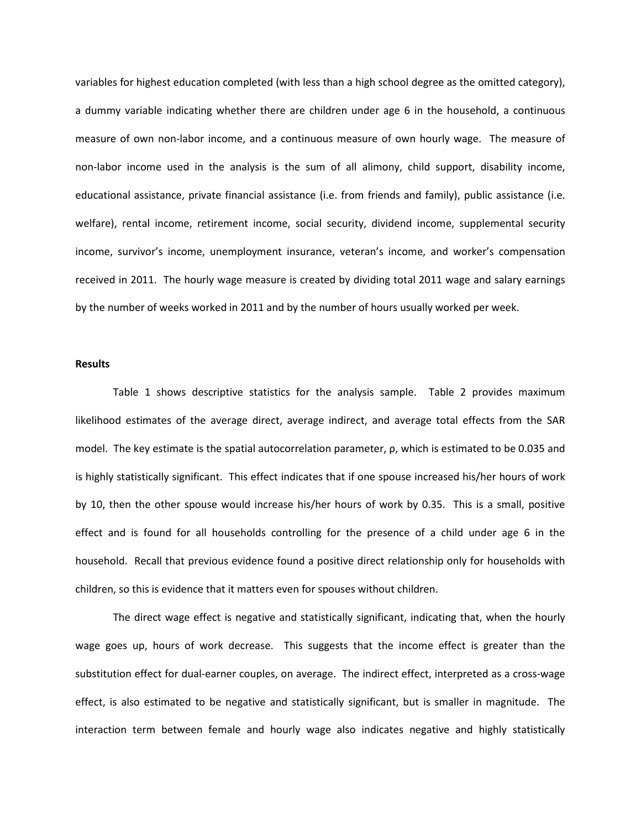variables for highest education completed (with less than a high school degree as the omitted category), a dummy variable indicating whether there are children under age 6 in the household, a continuous measure of own non-labor income, and a continuous measure of own hourly wage. The measure of non-labor income used in the analysis is the sum of all alimony, child support, disability income, educational assistance, private financial assistance (i.e. from friends and family), public assistance (i.e. welfare), rental income, retirement income, social security, dividend income, supplemental security income, survivor's income, unemployment insurance, veteran's income, and worker's compensation received in 2011. The hourly wage measure is created by dividing total 2011 wage and salary earnings by the number of weeks worked in 2011 and by the number of hours usually worked per week.

#### **Results**

Table 1 shows descriptive statistics for the analysis sample. Table 2 provides maximum likelihood estimates of the average direct, average indirect, and average total effects from the SAR model. The key estimate is the spatial autocorrelation parameter, ρ, which is estimated to be 0.035 and is highly statistically significant. This effect indicates that if one spouse increased his/her hours of work by 10, then the other spouse would increase his/her hours of work by 0.35. This is a small, positive effect and is found for all households controlling for the presence of a child under age 6 in the household. Recall that previous evidence found a positive direct relationship only for households with children, so this is evidence that it matters even for spouses without children.

The direct wage effect is negative and statistically significant, indicating that, when the hourly wage goes up, hours of work decrease. This suggests that the income effect is greater than the substitution effect for dual-earner couples, on average. The indirect effect, interpreted as a cross-wage effect, is also estimated to be negative and statistically significant, but is smaller in magnitude. The interaction term between female and hourly wage also indicates negative and highly statistically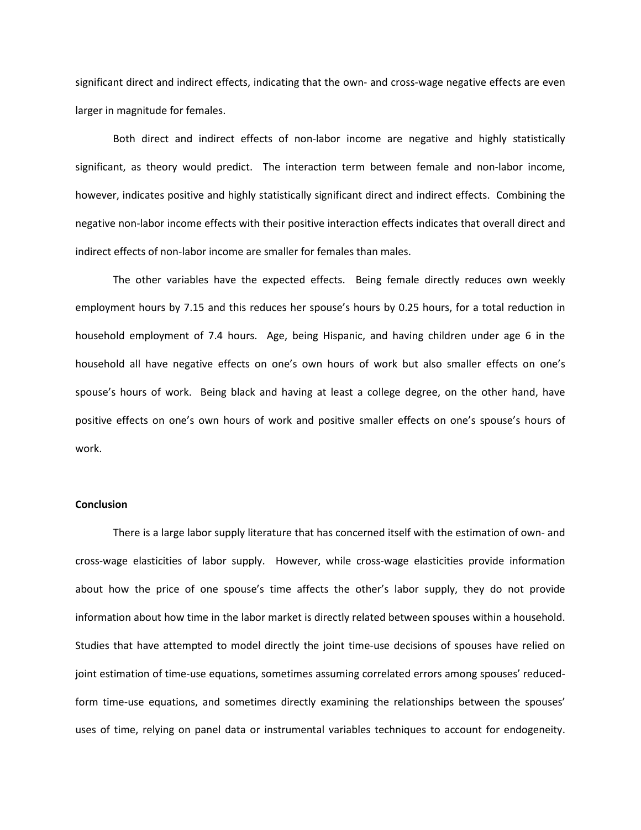significant direct and indirect effects, indicating that the own- and cross-wage negative effects are even larger in magnitude for females.

Both direct and indirect effects of non-labor income are negative and highly statistically significant, as theory would predict. The interaction term between female and non-labor income, however, indicates positive and highly statistically significant direct and indirect effects. Combining the negative non-labor income effects with their positive interaction effects indicates that overall direct and indirect effects of non-labor income are smaller for females than males.

The other variables have the expected effects. Being female directly reduces own weekly employment hours by 7.15 and this reduces her spouse's hours by 0.25 hours, for a total reduction in household employment of 7.4 hours. Age, being Hispanic, and having children under age 6 in the household all have negative effects on one's own hours of work but also smaller effects on one's spouse's hours of work. Being black and having at least a college degree, on the other hand, have positive effects on one's own hours of work and positive smaller effects on one's spouse's hours of work.

#### **Conclusion**

There is a large labor supply literature that has concerned itself with the estimation of own- and cross-wage elasticities of labor supply. However, while cross-wage elasticities provide information about how the price of one spouse's time affects the other's labor supply, they do not provide information about how time in the labor market is directly related between spouses within a household. Studies that have attempted to model directly the joint time-use decisions of spouses have relied on joint estimation of time-use equations, sometimes assuming correlated errors among spouses' reducedform time-use equations, and sometimes directly examining the relationships between the spouses' uses of time, relying on panel data or instrumental variables techniques to account for endogeneity.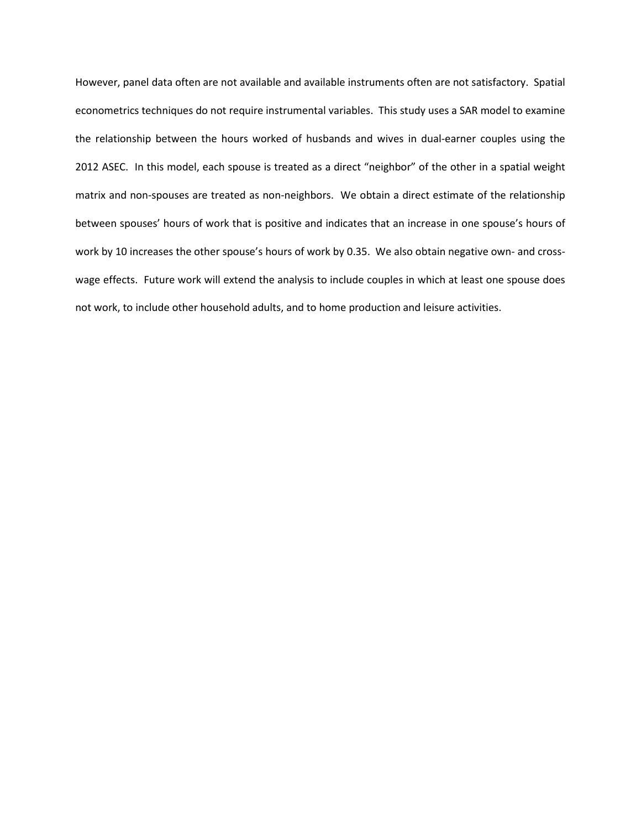However, panel data often are not available and available instruments often are not satisfactory. Spatial econometrics techniques do not require instrumental variables. This study uses a SAR model to examine the relationship between the hours worked of husbands and wives in dual-earner couples using the 2012 ASEC. In this model, each spouse is treated as a direct "neighbor" of the other in a spatial weight matrix and non-spouses are treated as non-neighbors. We obtain a direct estimate of the relationship between spouses' hours of work that is positive and indicates that an increase in one spouse's hours of work by 10 increases the other spouse's hours of work by 0.35. We also obtain negative own- and crosswage effects. Future work will extend the analysis to include couples in which at least one spouse does not work, to include other household adults, and to home production and leisure activities.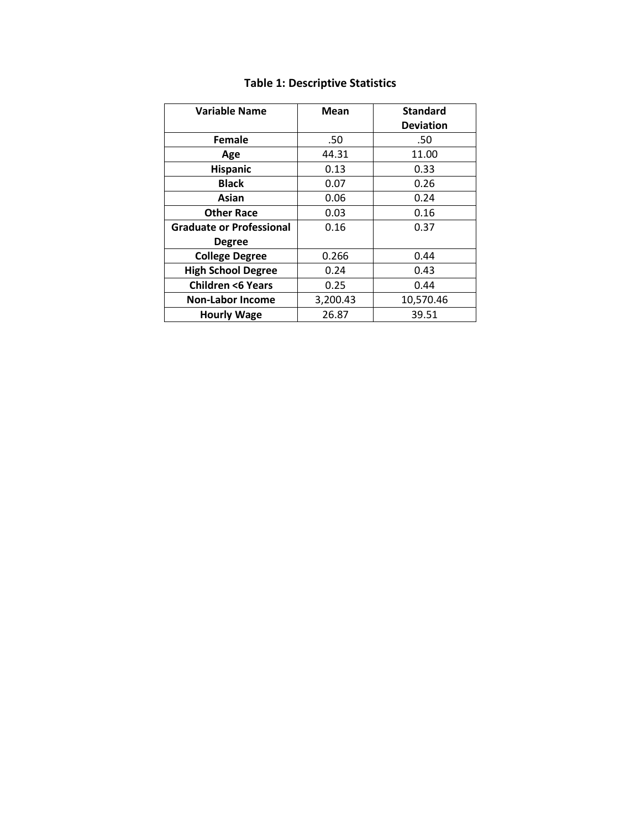| <b>Table 1: Descriptive Statistics</b> |  |
|----------------------------------------|--|
|                                        |  |

| <b>Variable Name</b>            | Mean     | <b>Standard</b>  |
|---------------------------------|----------|------------------|
|                                 |          | <b>Deviation</b> |
| Female                          | .50      | .50              |
| Age                             | 44.31    | 11.00            |
| <b>Hispanic</b>                 | 0.13     | 0.33             |
| <b>Black</b>                    | 0.07     | 0.26             |
| Asian                           | 0.06     | 0.24             |
| <b>Other Race</b>               | 0.03     | 0.16             |
| <b>Graduate or Professional</b> | 0.16     | 0.37             |
| <b>Degree</b>                   |          |                  |
| <b>College Degree</b>           | 0.266    | 0.44             |
| <b>High School Degree</b>       | 0.24     | 0.43             |
| <b>Children &lt;6 Years</b>     | 0.25     | 0.44             |
| <b>Non-Labor Income</b>         | 3,200.43 | 10,570.46        |
| <b>Hourly Wage</b>              | 26.87    | 39.51            |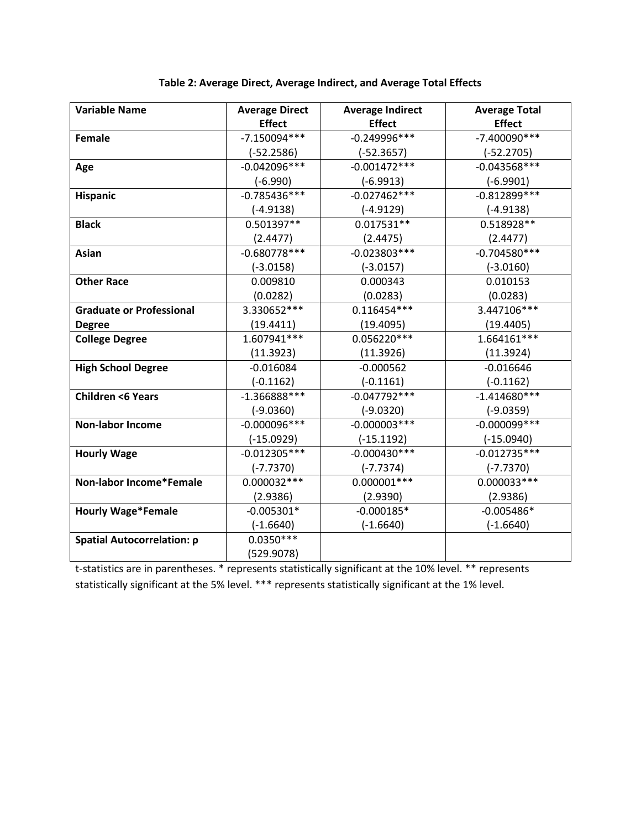| <b>Variable Name</b>            | <b>Average Direct</b> | <b>Average Indirect</b> | <b>Average Total</b> |
|---------------------------------|-----------------------|-------------------------|----------------------|
|                                 | <b>Effect</b>         | <b>Effect</b>           | <b>Effect</b>        |
| Female                          | $-7.150094***$        | $-0.249996***$          | $-7.400090***$       |
|                                 | $(-52.2586)$          | $(-52.3657)$            | $(-52.2705)$         |
| Age                             | $-0.042096***$        | $-0.001472***$          | $-0.043568***$       |
|                                 | $(-6.990)$            | $(-6.9913)$             | $(-6.9901)$          |
| <b>Hispanic</b>                 | $-0.785436***$        | $-0.027462***$          | $-0.812899***$       |
|                                 | $(-4.9138)$           | $(-4.9129)$             | $(-4.9138)$          |
| <b>Black</b>                    | 0.501397**            | $0.017531**$            | 0.518928**           |
|                                 | (2.4477)              | (2.4475)                | (2.4477)             |
| Asian                           | $-0.680778***$        | $-0.023803***$          | $-0.704580***$       |
|                                 | $(-3.0158)$           | $(-3.0157)$             | $(-3.0160)$          |
| <b>Other Race</b>               | 0.009810              | 0.000343                | 0.010153             |
|                                 | (0.0282)              | (0.0283)                | (0.0283)             |
| <b>Graduate or Professional</b> | 3.330652 ***          | $0.116454***$           | 3.447106***          |
| <b>Degree</b>                   | (19.4411)             | (19.4095)               | (19.4405)            |
| <b>College Degree</b>           | 1.607941 ***          | $0.056220***$           | 1.664161***          |
|                                 | (11.3923)             | (11.3926)               | (11.3924)            |
| <b>High School Degree</b>       | $-0.016084$           | $-0.000562$             | $-0.016646$          |
|                                 | $(-0.1162)$           | $(-0.1161)$             | $(-0.1162)$          |
| <b>Children &lt;6 Years</b>     | $-1.366888***$        | $-0.047792***$          | $-1.414680***$       |
|                                 | $(-9.0360)$           | $(-9.0320)$             | $(-9.0359)$          |
| <b>Non-labor Income</b>         | $-0.000096***$        | $-0.000003$ ***         | $-0.000099***$       |
|                                 | $(-15.0929)$          | $(-15.1192)$            | $(-15.0940)$         |
| <b>Hourly Wage</b>              | $-0.012305***$        | $-0.000430***$          | $-0.012735***$       |
|                                 | $(-7.7370)$           | $(-7.7374)$             | $(-7.7370)$          |
| Non-labor Income*Female         | $0.000032***$         | $0.000001***$           | $0.000033***$        |
|                                 | (2.9386)              | (2.9390)                | (2.9386)             |
| <b>Hourly Wage*Female</b>       | $-0.005301*$          | $-0.000185*$            | $-0.005486*$         |
|                                 | $(-1.6640)$           | $(-1.6640)$             | $(-1.6640)$          |
| Spatial Autocorrelation: p      | $0.0350***$           |                         |                      |
|                                 | (529.9078)            |                         |                      |

**Table 2: Average Direct, Average Indirect, and Average Total Effects**

t-statistics are in parentheses. \* represents statistically significant at the 10% level. \*\* represents statistically significant at the 5% level. \*\*\* represents statistically significant at the 1% level.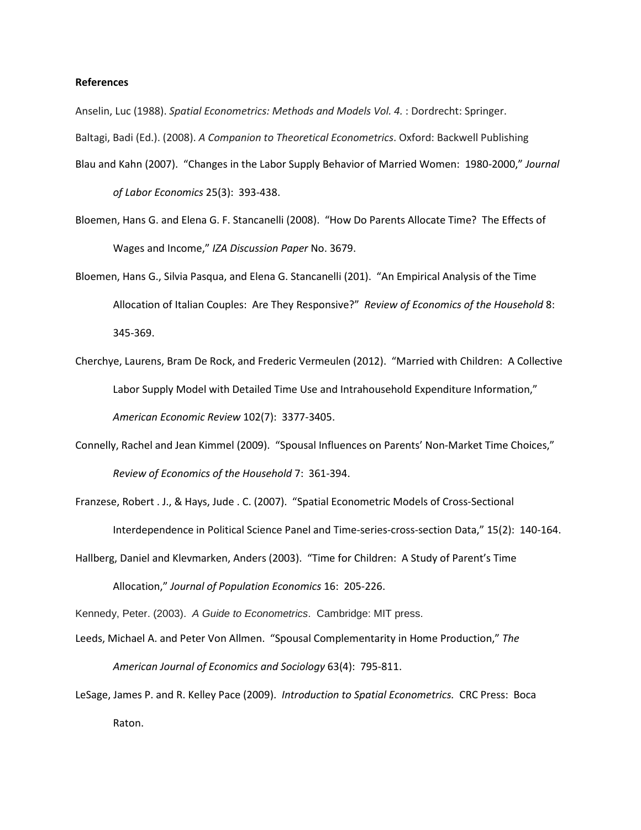#### **References**

Anselin, Luc (1988). *Spatial Econometrics: Methods and Models Vol. 4.* : Dordrecht: Springer. Baltagi, Badi (Ed.). (2008). *A Companion to Theoretical Econometrics*. Oxford: Backwell Publishing Blau and Kahn (2007). "Changes in the Labor Supply Behavior of Married Women: 1980-2000," *Journal of Labor Economics* 25(3): 393-438.

Bloemen, Hans G. and Elena G. F. Stancanelli (2008). "How Do Parents Allocate Time? The Effects of Wages and Income," *IZA Discussion Paper* No. 3679.

- Bloemen, Hans G., Silvia Pasqua, and Elena G. Stancanelli (201). "An Empirical Analysis of the Time Allocation of Italian Couples: Are They Responsive?" *Review of Economics of the Household* 8: 345-369.
- Cherchye, Laurens, Bram De Rock, and Frederic Vermeulen (2012). "Married with Children: A Collective Labor Supply Model with Detailed Time Use and Intrahousehold Expenditure Information," *American Economic Review* 102(7): 3377-3405.
- Connelly, Rachel and Jean Kimmel (2009). "Spousal Influences on Parents' Non-Market Time Choices," *Review of Economics of the Household* 7: 361-394.
- Franzese, Robert . J., & Hays, Jude . C. (2007). "Spatial Econometric Models of Cross-Sectional Interdependence in Political Science Panel and Time-series-cross-section Data," 15(2): 140-164.

Hallberg, Daniel and Klevmarken, Anders (2003). "Time for Children: A Study of Parent's Time

Allocation," *Journal of Population Economics* 16: 205-226.

Kennedy, Peter. (2003). *A Guide to Econometrics*. Cambridge: MIT press.

- Leeds, Michael A. and Peter Von Allmen. "Spousal Complementarity in Home Production," *The American Journal of Economics and Sociology* 63(4): 795-811.
- <span id="page-15-0"></span>LeSage, James P. and R. Kelley Pace (2009). *Introduction to Spatial Econometrics.* CRC Press: Boca Raton.